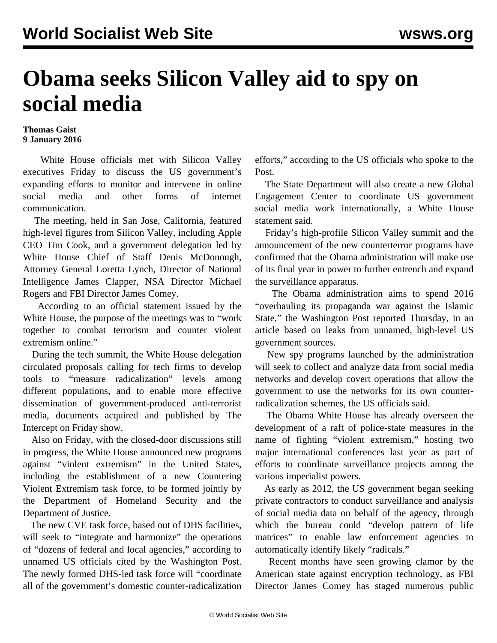## **Obama seeks Silicon Valley aid to spy on social media**

## **Thomas Gaist 9 January 2016**

 White House officials met with Silicon Valley executives Friday to discuss the US government's expanding efforts to monitor and intervene in online social media and other forms of internet communication.

 The meeting, held in San Jose, California, featured high-level figures from Silicon Valley, including Apple CEO Tim Cook, and a government delegation led by White House Chief of Staff Denis McDonough, Attorney General Loretta Lynch, Director of National Intelligence James Clapper, NSA Director Michael Rogers and FBI Director James Comey.

 According to an official statement issued by the White House, the purpose of the meetings was to "work together to combat terrorism and counter violent extremism online."

 During the tech summit, the White House delegation circulated proposals calling for tech firms to develop tools to "measure radicalization" levels among different populations, and to enable more effective dissemination of government-produced anti-terrorist media, documents acquired and published by The Intercept on Friday show.

 Also on Friday, with the closed-door discussions still in progress, the White House announced new programs against "violent extremism" in the United States, including the establishment of a new Countering Violent Extremism task force, to be formed jointly by the Department of Homeland Security and the Department of Justice.

 The new CVE task force, based out of DHS facilities, will seek to "integrate and harmonize" the operations of "dozens of federal and local agencies," according to unnamed US officials cited by the Washington Post. The newly formed DHS-led task force will "coordinate all of the government's domestic counter-radicalization efforts," according to the US officials who spoke to the Post.

 The State Department will also create a new Global Engagement Center to coordinate US government social media work internationally, a White House statement said.

 Friday's high-profile Silicon Valley summit and the announcement of the new counterterror programs have confirmed that the Obama administration will make use of its final year in power to further entrench and expand the surveillance apparatus.

 The Obama administration aims to spend 2016 "overhauling its propaganda war against the Islamic State," the Washington Post reported Thursday, in an article based on leaks from unnamed, high-level US government sources.

 New spy programs launched by the administration will seek to collect and analyze data from social media networks and develop covert operations that allow the government to use the networks for its own counterradicalization schemes, the US officials said.

 The Obama White House has already overseen the development of a raft of police-state measures in the name of fighting "violent extremism," hosting two major international conferences last year as part of efforts to coordinate surveillance projects among the various imperialist powers.

 As early as 2012, the US government began seeking private contractors to conduct surveillance and analysis of social media data on behalf of the agency, through which the bureau could "develop pattern of life matrices" to enable law enforcement agencies to automatically identify likely "radicals."

 Recent months have seen growing clamor by the American state against encryption technology, as FBI Director James Comey has staged numerous public